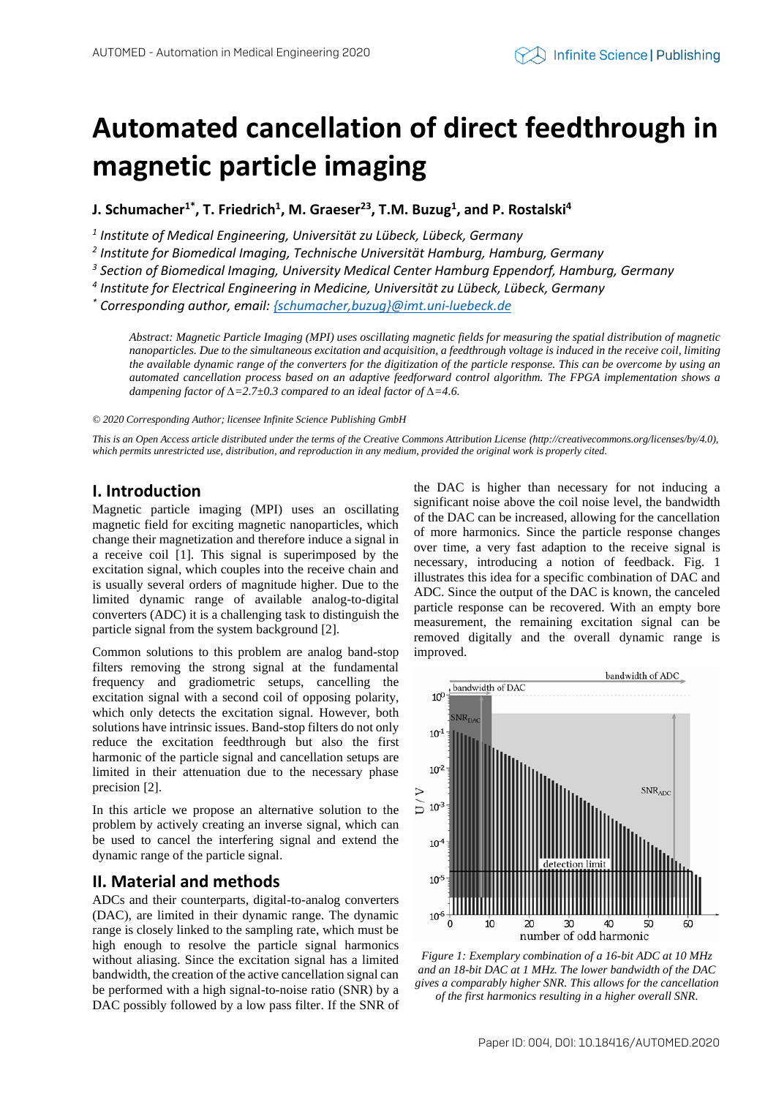# **Automated cancellation of direct feedthrough in magnetic particle imaging**

**J. Schumacher1\* , T. Friedrich<sup>1</sup> , M. Graeser<sup>23</sup> , T.M. Buzug<sup>1</sup> , and P. Rostalski<sup>4</sup>**

*1 Institute of Medical Engineering, Universität zu Lübeck, Lübeck, Germany*

*2 Institute for Biomedical Imaging, Technische Universität Hamburg, Hamburg, Germany*

*3 Section of Biomedical Imaging, University Medical Center Hamburg Eppendorf, Hamburg, Germany*

*4 Institute for Electrical Engineering in Medicine, Universität zu Lübeck, Lübeck, Germany*

*\* Corresponding author, email[: {schumacher,buzug}@imt.uni-luebeck.de](mailto:schumacher@imt.uni-luebeck.de)*

*Abstract: Magnetic Particle Imaging (MPI) uses oscillating magnetic fields for measuring the spatial distribution of magnetic nanoparticles. Due to the simultaneous excitation and acquisition, a feedthrough voltage is induced in the receive coil, limiting the available dynamic range of the converters for the digitization of the particle response. This can be overcome by using an automated cancellation process based on an adaptive feedforward control algorithm. The FPGA implementation shows a dampening factor of ∆=2.7±0.3 compared to an ideal factor of ∆=4.6.*

*© 2020 Corresponding Author; licensee Infinite Science Publishing GmbH*

*This is an Open Access article distributed under the terms of the Creative Commons Attribution License (http://creativecommons.org/licenses/by/4.0), which permits unrestricted use, distribution, and reproduction in any medium, provided the original work is properly cited.*

## **I. Introduction**

Magnetic particle imaging (MPI) uses an oscillating magnetic field for exciting magnetic nanoparticles, which change their magnetization and therefore induce a signal in a receive coil [1]. This signal is superimposed by the excitation signal, which couples into the receive chain and is usually several orders of magnitude higher. Due to the limited dynamic range of available analog-to-digital converters (ADC) it is a challenging task to distinguish the particle signal from the system background [2].

Common solutions to this problem are analog band-stop filters removing the strong signal at the fundamental frequency and gradiometric setups, cancelling the excitation signal with a second coil of opposing polarity, which only detects the excitation signal. However, both solutions have intrinsic issues. Band-stop filters do not only reduce the excitation feedthrough but also the first harmonic of the particle signal and cancellation setups are limited in their attenuation due to the necessary phase precision [2].

In this article we propose an alternative solution to the problem by actively creating an inverse signal, which can be used to cancel the interfering signal and extend the dynamic range of the particle signal.

## **II. Material and methods**

ADCs and their counterparts, digital-to-analog converters (DAC), are limited in their dynamic range. The dynamic range is closely linked to the sampling rate, which must be high enough to resolve the particle signal harmonics without aliasing. Since the excitation signal has a limited bandwidth, the creation of the active cancellation signal can be performed with a high signal-to-noise ratio (SNR) by a DAC possibly followed by a low pass filter. If the SNR of

the DAC is higher than necessary for not inducing a significant noise above the coil noise level, the bandwidth of the DAC can be increased, allowing for the cancellation of more harmonics. Since the particle response changes over time, a very fast adaption to the receive signal is necessary, introducing a notion of feedback. Fig. 1 illustrates this idea for a specific combination of DAC and ADC. Since the output of the DAC is known, the canceled particle response can be recovered. With an empty bore measurement, the remaining excitation signal can be removed digitally and the overall dynamic range is improved.



*Figure 1: Exemplary combination of a 16-bit ADC at 10 MHz and an 18-bit DAC at 1 MHz. The lower bandwidth of the DAC gives a comparably higher SNR. This allows for the cancellation of the first harmonics resulting in a higher overall SNR.*